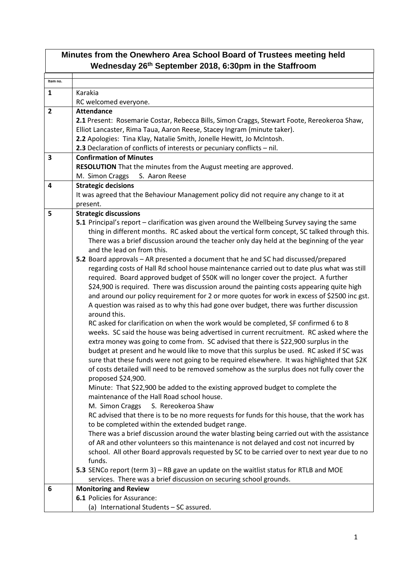| Minutes from the Onewhero Area School Board of Trustees meeting held<br>Wednesday 26th September 2018, 6:30pm in the Staffroom |                                                                                                                              |  |
|--------------------------------------------------------------------------------------------------------------------------------|------------------------------------------------------------------------------------------------------------------------------|--|
| Item no.                                                                                                                       |                                                                                                                              |  |
|                                                                                                                                | Karakia                                                                                                                      |  |
| $\mathbf{1}$                                                                                                                   |                                                                                                                              |  |
|                                                                                                                                | RC welcomed everyone.                                                                                                        |  |
| $\overline{2}$                                                                                                                 | <b>Attendance</b>                                                                                                            |  |
|                                                                                                                                | 2.1 Present: Rosemarie Costar, Rebecca Bills, Simon Craggs, Stewart Foote, Rereokeroa Shaw,                                  |  |
|                                                                                                                                | Elliot Lancaster, Rima Taua, Aaron Reese, Stacey Ingram (minute taker).                                                      |  |
|                                                                                                                                | 2.2 Apologies: Tina Klay, Natalie Smith, Jonelle Hewitt, Jo McIntosh.                                                        |  |
| 3                                                                                                                              | 2.3 Declaration of conflicts of interests or pecuniary conflicts - nil.<br><b>Confirmation of Minutes</b>                    |  |
|                                                                                                                                |                                                                                                                              |  |
|                                                                                                                                | RESOLUTION That the minutes from the August meeting are approved.<br>S. Aaron Reese                                          |  |
|                                                                                                                                | M. Simon Craggs<br><b>Strategic decisions</b>                                                                                |  |
| 4                                                                                                                              |                                                                                                                              |  |
|                                                                                                                                | It was agreed that the Behaviour Management policy did not require any change to it at                                       |  |
|                                                                                                                                | present.                                                                                                                     |  |
| 5                                                                                                                              | <b>Strategic discussions</b><br>5.1 Principal's report – clarification was given around the Wellbeing Survey saying the same |  |
|                                                                                                                                | thing in different months. RC asked about the vertical form concept, SC talked through this.                                 |  |
|                                                                                                                                | There was a brief discussion around the teacher only day held at the beginning of the year                                   |  |
|                                                                                                                                | and the lead on from this.                                                                                                   |  |
|                                                                                                                                | 5.2 Board approvals - AR presented a document that he and SC had discussed/prepared                                          |  |
|                                                                                                                                | regarding costs of Hall Rd school house maintenance carried out to date plus what was still                                  |  |
|                                                                                                                                | required. Board approved budget of \$50K will no longer cover the project. A further                                         |  |
|                                                                                                                                | \$24,900 is required. There was discussion around the painting costs appearing quite high                                    |  |
|                                                                                                                                | and around our policy requirement for 2 or more quotes for work in excess of \$2500 inc gst.                                 |  |
|                                                                                                                                | A question was raised as to why this had gone over budget, there was further discussion                                      |  |
|                                                                                                                                | around this.                                                                                                                 |  |
|                                                                                                                                | RC asked for clarification on when the work would be completed, SF confirmed 6 to 8                                          |  |
|                                                                                                                                | weeks. SC said the house was being advertised in current recruitment. RC asked where the                                     |  |
|                                                                                                                                | extra money was going to come from. SC advised that there is \$22,900 surplus in the                                         |  |
|                                                                                                                                | budget at present and he would like to move that this surplus be used. RC asked if SC was                                    |  |
|                                                                                                                                | sure that these funds were not going to be required elsewhere. It was highlighted that \$2K                                  |  |
|                                                                                                                                | of costs detailed will need to be removed somehow as the surplus does not fully cover the                                    |  |
|                                                                                                                                | proposed \$24,900.                                                                                                           |  |
|                                                                                                                                | Minute: That \$22,900 be added to the existing approved budget to complete the                                               |  |
|                                                                                                                                | maintenance of the Hall Road school house.                                                                                   |  |
|                                                                                                                                | S. Rereokeroa Shaw<br>M. Simon Craggs                                                                                        |  |
|                                                                                                                                | RC advised that there is to be no more requests for funds for this house, that the work has                                  |  |
|                                                                                                                                | to be completed within the extended budget range.                                                                            |  |
|                                                                                                                                | There was a brief discussion around the water blasting being carried out with the assistance                                 |  |
|                                                                                                                                | of AR and other volunteers so this maintenance is not delayed and cost not incurred by                                       |  |
|                                                                                                                                | school. All other Board approvals requested by SC to be carried over to next year due to no                                  |  |
|                                                                                                                                | funds.                                                                                                                       |  |
|                                                                                                                                | 5.3 SENCo report (term 3) - RB gave an update on the waitlist status for RTLB and MOE                                        |  |
|                                                                                                                                | services. There was a brief discussion on securing school grounds.                                                           |  |
| 6                                                                                                                              | <b>Monitoring and Review</b>                                                                                                 |  |
|                                                                                                                                | 6.1 Policies for Assurance:                                                                                                  |  |
|                                                                                                                                | (a) International Students - SC assured.                                                                                     |  |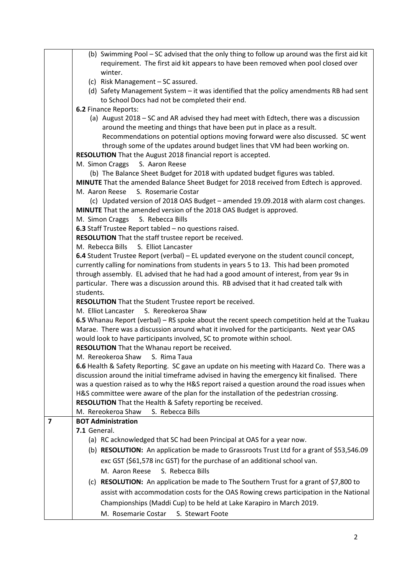|                | (b) Swimming Pool - SC advised that the only thing to follow up around was the first aid kit                                                                                                 |
|----------------|----------------------------------------------------------------------------------------------------------------------------------------------------------------------------------------------|
|                | requirement. The first aid kit appears to have been removed when pool closed over                                                                                                            |
|                | winter.                                                                                                                                                                                      |
|                | (c) Risk Management - SC assured.                                                                                                                                                            |
|                | (d) Safety Management System - it was identified that the policy amendments RB had sent                                                                                                      |
|                | to School Docs had not be completed their end.                                                                                                                                               |
|                | 6.2 Finance Reports:                                                                                                                                                                         |
|                | (a) August 2018 - SC and AR advised they had meet with Edtech, there was a discussion<br>around the meeting and things that have been put in place as a result.                              |
|                | Recommendations on potential options moving forward were also discussed. SC went                                                                                                             |
|                | through some of the updates around budget lines that VM had been working on.                                                                                                                 |
|                | RESOLUTION That the August 2018 financial report is accepted.                                                                                                                                |
|                | M. Simon Craggs<br>S. Aaron Reese                                                                                                                                                            |
|                | (b) The Balance Sheet Budget for 2018 with updated budget figures was tabled.                                                                                                                |
|                | MINUTE That the amended Balance Sheet Budget for 2018 received from Edtech is approved.                                                                                                      |
|                | M. Aaron Reese<br>S. Rosemarie Costar                                                                                                                                                        |
|                | (c) Updated version of 2018 OAS Budget - amended 19.09.2018 with alarm cost changes.                                                                                                         |
|                | MINUTE That the amended version of the 2018 OAS Budget is approved.                                                                                                                          |
|                | M. Simon Craggs<br>S. Rebecca Bills                                                                                                                                                          |
|                | 6.3 Staff Trustee Report tabled - no questions raised.                                                                                                                                       |
|                | RESOLUTION That the staff trustee report be received.                                                                                                                                        |
|                | M. Rebecca Bills<br>S. Elliot Lancaster                                                                                                                                                      |
|                | 6.4 Student Trustee Report (verbal) - EL updated everyone on the student council concept,                                                                                                    |
|                | currently calling for nominations from students in years 5 to 13. This had been promoted                                                                                                     |
|                | through assembly. EL advised that he had had a good amount of interest, from year 9s in                                                                                                      |
|                | particular. There was a discussion around this. RB advised that it had created talk with                                                                                                     |
|                | students.                                                                                                                                                                                    |
|                | RESOLUTION That the Student Trustee report be received.                                                                                                                                      |
|                | M. Elliot Lancaster<br>S. Rereokeroa Shaw                                                                                                                                                    |
|                | 6.5 Whanau Report (verbal) - RS spoke about the recent speech competition held at the Tuakau                                                                                                 |
|                | Marae. There was a discussion around what it involved for the participants. Next year OAS                                                                                                    |
|                | would look to have participants involved, SC to promote within school.                                                                                                                       |
|                | <b>RESOLUTION</b> That the Whanau report be received.                                                                                                                                        |
|                | M. Rereokeroa Shaw<br>S. Rima Taua                                                                                                                                                           |
|                | 6.6 Health & Safety Reporting. SC gave an update on his meeting with Hazard Co. There was a                                                                                                  |
|                | discussion around the initial timeframe advised in having the emergency kit finalised. There<br>was a question raised as to why the H&S report raised a question around the road issues when |
|                | H&S committee were aware of the plan for the installation of the pedestrian crossing.                                                                                                        |
|                | RESOLUTION That the Health & Safety reporting be received.                                                                                                                                   |
|                | S. Rebecca Bills<br>M. Rereokeroa Shaw                                                                                                                                                       |
| $\overline{7}$ | <b>BOT Administration</b>                                                                                                                                                                    |
|                | 7.1 General.                                                                                                                                                                                 |
|                | (a) RC acknowledged that SC had been Principal at OAS for a year now.                                                                                                                        |
|                | (b) RESOLUTION: An application be made to Grassroots Trust Ltd for a grant of \$53,546.09                                                                                                    |
|                | exc GST (\$61,578 inc GST) for the purchase of an additional school van.                                                                                                                     |
|                | S. Rebecca Bills<br>M. Aaron Reese                                                                                                                                                           |
|                |                                                                                                                                                                                              |
|                | (c) RESOLUTION: An application be made to The Southern Trust for a grant of \$7,800 to                                                                                                       |
|                | assist with accommodation costs for the OAS Rowing crews participation in the National                                                                                                       |
|                | Championships (Maddi Cup) to be held at Lake Karapiro in March 2019.                                                                                                                         |
|                | M. Rosemarie Costar<br>S. Stewart Foote                                                                                                                                                      |